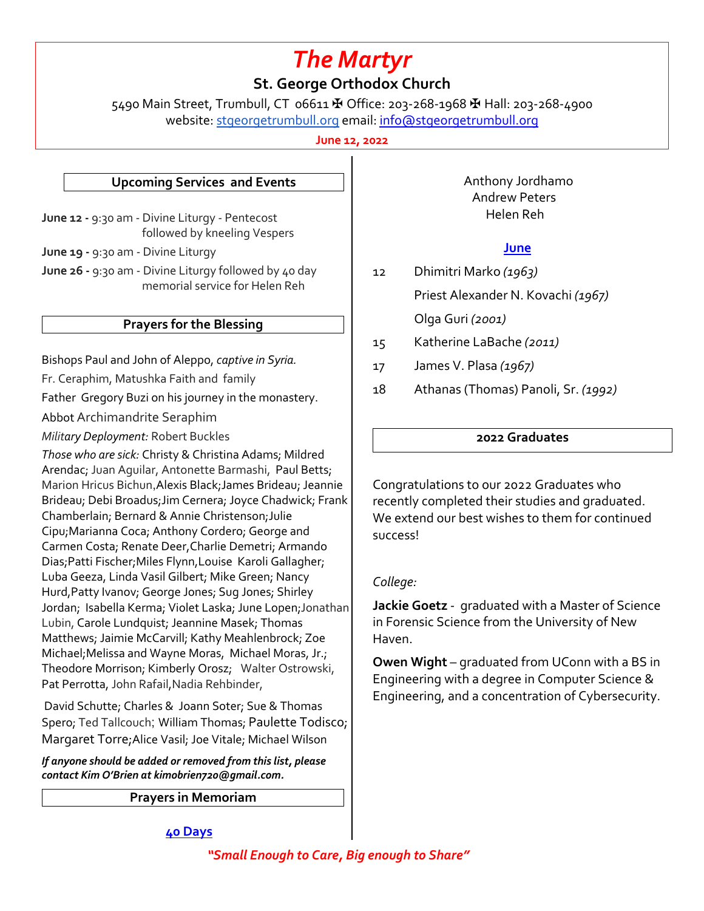# *The Martyr*

## **St. George Orthodox Church**

5490 Main Street, Trumbull, CT 06611 ✠ Office: 203-268-1968 ✠ Hall: 203-268-4900 website: stgeorgetrumbull.org email: info@stgeorgetrumbull.org

**June 12, 2022**

#### **Upcoming Services and Events**

**June 12 -** 9:30 am - Divine Liturgy - Pentecost followed by kneeling Vespers

**June 19 -** 9:30 am - Divine Liturgy

**June 26 -** 9:30 am - Divine Liturgy followed by 40 day memorial service for Helen Reh

#### **Prayers for the Blessing**

Bishops Paul and John of Aleppo, *captive in Syria.*

Fr. Ceraphim, Matushka Faith and family

Father Gregory Buzi on his journey in the monastery.

Abbot Archimandrite Seraphim

*Military Deployment:* Robert Buckles

*Those who are sick:* Christy & Christina Adams; Mildred Arendac; Juan Aguilar, Antonette Barmashi, Paul Betts; Marion Hricus Bichun,Alexis Black;James Brideau; Jeannie Brideau; Debi Broadus;Jim Cernera; Joyce Chadwick; Frank Chamberlain; Bernard & Annie Christenson;Julie Cipu;Marianna Coca; Anthony Cordero; George and Carmen Costa; Renate Deer,Charlie Demetri; Armando Dias;Patti Fischer;Miles Flynn,Louise Karoli Gallagher; Luba Geeza, Linda Vasil Gilbert; Mike Green; Nancy Hurd,Patty Ivanov; George Jones; Sug Jones; Shirley Jordan; Isabella Kerma; Violet Laska; June Lopen;Jonathan Lubin, Carole Lundquist; Jeannine Masek; Thomas Matthews; Jaimie McCarvill; Kathy Meahlenbrock; Zoe Michael;Melissa and Wayne Moras, Michael Moras, Jr.; Theodore Morrison; Kimberly Orosz; Walter Ostrowski, Pat Perrotta, John Rafail,Nadia Rehbinder,

David Schutte; Charles & Joann Soter; Sue & Thomas Spero; Ted Tallcouch; William Thomas; Paulette Todisco; Margaret Torre;Alice Vasil; Joe Vitale; Michael Wilson

*If anyone should be added or removed from this list, please contact Kim O'Brien at kimobrien720@gmail.com.*

**Prayers in Memoriam**

 Anthony Jordhamo Andrew Peters Helen Reh

#### **June**

12 Dhimitri Marko *(1963)* Priest Alexander N. Kovachi *(1967)*

Olga Guri *(2001)*

15 Katherine LaBache *(2011)*

- 17 James V. Plasa *(1967)*
- 18 Athanas (Thomas) Panoli, Sr. *(1992)*

#### **2022 Graduates**

Congratulations to our 2022 Graduates who recently completed their studies and graduated. We extend our best wishes to them for continued success!

### *College:*

**Jackie Goetz** - graduated with a Master of Science in Forensic Science from the University of New Haven.

**Owen Wight** – graduated from UConn with a BS in Engineering with a degree in Computer Science & Engineering, and a concentration of Cybersecurity.

#### **40 Days**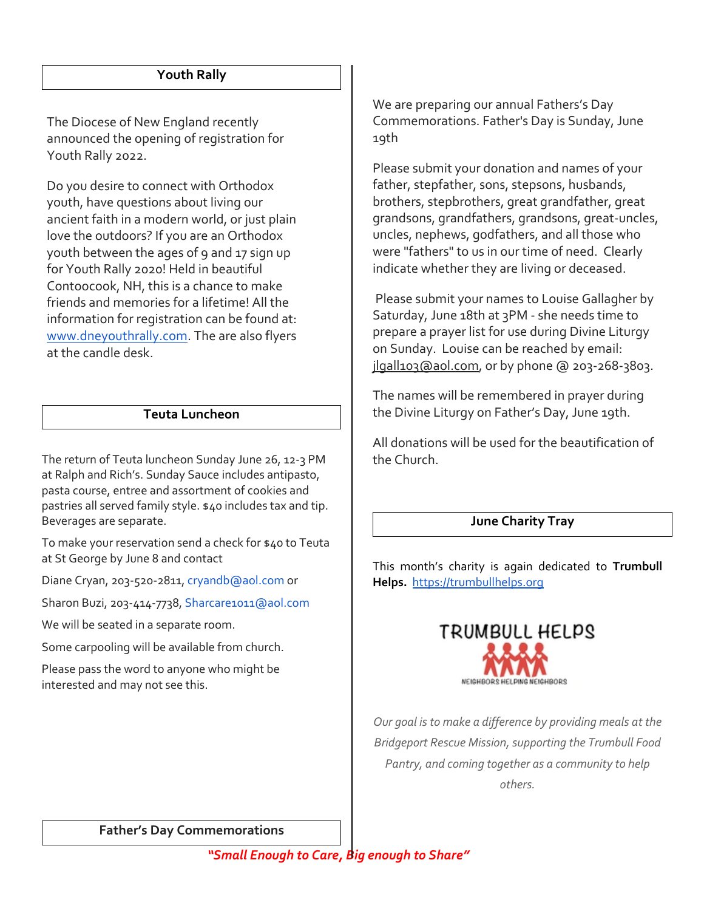#### **Youth Rally**

The Diocese of New England recently announced the opening of registration for Youth Rally 2022.

Do you desire to connect with Orthodox youth, have questions about living our ancient faith in a modern world, or just plain love the outdoors? If you are an Orthodox youth between the ages of 9 and 17 sign up for Youth Rally 2020! Held in beautiful Contoocook, NH, this is a chance to make friends and memories for a lifetime! All the information for registration can be found at: www.dneyouthrally.com. The are also flyers at the candle desk.

### **Teuta Luncheon**

The return of Teuta luncheon Sunday June 26, 12-3 PM at Ralph and Rich's. Sunday Sauce includes antipasto, pasta course, entree and assortment of cookies and pastries all served family style. \$40 includes tax and tip. Beverages are separate.

To make your reservation send a check for \$40 to Teuta at St George by June 8 and contact

Diane Cryan, 203-520-2811, cryandb@aol.com or

Sharon Buzi, 203-414-7738, Sharcare1011@aol.com

We will be seated in a separate room.

Some carpooling will be available from church.

Please pass the word to anyone who might be interested and may not see this.

We are preparing our annual Fathers's Day Commemorations. Father's Day is Sunday, June 19th

Please submit your donation and names of your father, stepfather, sons, stepsons, husbands, brothers, stepbrothers, great grandfather, great grandsons, grandfathers, grandsons, great-uncles, uncles, nephews, godfathers, and all those who were "fathers" to us in our time of need. Clearly indicate whether they are living or deceased.

Please submit your names to Louise Gallagher by Saturday, June 18th at 3PM - she needs time to prepare a prayer list for use during Divine Liturgy on Sunday. Louise can be reached by email: jlgall103@aol.com, or by phone @ 203-268-3803.

The names will be remembered in prayer during the Divine Liturgy on Father's Day, June 19th.

All donations will be used for the beautification of the Church.

#### **June Charity Tray**

This month's charity is again dedicated to **Trumbull Helps.** https://trumbullhelps.org



*Our goal is to make a difference by providing meals at the Bridgeport Rescue Mission, supporting the Trumbull Food Pantry, and coming together as a community to help others.*

**Father's Day Commemorations**